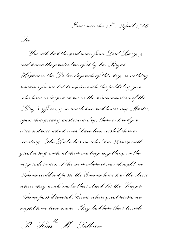*Inverness the 18th. April 1746.*

*Sir.*

*You will had the good news from Lord Bury, & will know the particulars of it by his Royal Highness the Dukes dispatch of this day; so nothing remains for me but to rejoice with the publick & you whohave so large a share in the administration of the King's affairs, & so muchlove and honor my Master, upon this great & auspicious day; there is hardly a circumstance which could have been wish'd that is wanting. The Duke has march'd his Army with great ease & without their wasting any thing in the very rude season of the year where it was thought an Army could not pass, the Enemy have had the choice where they would make their stand, for the King's Army pass'd several Rivers where great resistance might have been made, They had here their terrible* 

*R . Honblr M . Pelham. t r*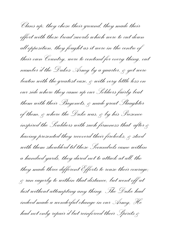*Clans up; they chose their ground, they made their*  effort with those broad swords which were to cut down *all opposition, they fought as it were in the centre of their own Country, were to contend for every thing, out number'd the Dukes Army by a quarter, & yet were beaten with the greatest ease, & with very little loss on our side where they came up our Soldiers fairly beat them with their Bayonets, & made great Slaughter of them, & where the Duke was, & by his Presence inspired the Souldiers with such firmness that after & having presented they recoverd their firelocks, & stood with them shoulderd til these Scoundrels came within a hundred yards, they dared not to attack at all, tho they made three different Efforts to rouse their courage; & ran eagerly to within that distance, but went off at last without attempting any thing. The Duke had indeed made a wonderful change in our Army, He had not only repair'd but reinforced their Spirits &*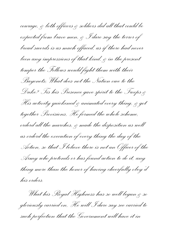courage, & both officers & soldiers did all that could be *expected from brave men, & I dare say the terror of broad swords is as much effaced, as if there had never been any impressions of that kind, & in the present temper the Fellows would fight them with their Bayonets; What does not the Nation owe to the Duke? Tis his Presence gave spirit to the Troops & His activity quickened & animated every thing, & got together Provisions, He formed the whole scheme, orderd all the marches, & made the disposition as well as orderd the execution of every thing the day of the Action, so that I believe there is not an Officer of the Army who pretends or has found action to do it, any thing more than the honor of having cheerfully obey'd his orders.*

*What his Royal Highness has so well begun & so gloriously carried on, He will I dare say see carried to such perfection that the Government will have it in*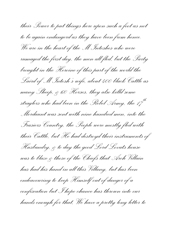*their Power to put things here upon such a foot as not to be againendangerd as they have been from hence. We are in the heart of the M<sup>c</sup> Intoshes who were rumaged the first day, the men all fled, but the Party brought in the Heroine of this part of the world the Laird of M<sup>c</sup> Intosh's wife, about 400 black Cattle as many Sheep, & 60 Horses, they also killd some straglers who had been in the Rebel Army, the 17th Mordaunt was sent with nine hundred men, into the Frasiers Country, the People were mostly fled with their Cattle, but He had destroyd their instruments of Husbandry, & to day the good Lord Lovats house was to blaze & those of the Chiefs that Arch Villain has had his hand in all this Villany, but has been endeavouring to keep Himself out of danger of a confiscation but I hope chance has thrown into our hands enough for that, We have a pretty long letter to*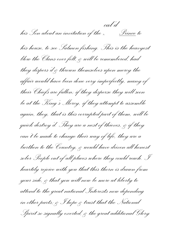*his Son about an invitation of the ^ cal'd Prince to his house, to see Salmon fishing. This is the heavyest blow the Clans ever felt, & will be remembered, had they dispers'd & thrown themselves upon mercy the affair would have been done very imperfectly, many of their Chiefs are fallen; if they disperse they will soon be at the King's Mercy, if they attempt to assemble again, they, that is this corrupted part of them, will be quickdestroy'd. They are a nest of thieves, & if they can't be made to change their way of life, they are a burthen to the Country, & would have driven all honest sober People out of all places where they could reach. I heartily rejoice with you that this thorn is drawn from your side, & that you will now be more at liberty to attend to the great national Interests now depending in other parts; & I hope & trust that the National Spirit so signally exerted, & the great additional Glory*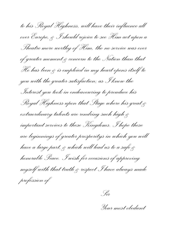*to his Royal Highness, will have their influence all over Europe, & I should rejoice to see Him act upon a Theatre more worthy of Him, tho no service was ever of greater moment & concern to the Nation than that He has been & is emploied in my heart opens itself to you with the greater satisfaction; as I know the Interest you took in endeavouring to prouduce his Royal Highness upon that Stage where his great & extraordinary talents are rendring such high & important services to these Kingdoms. I hope these are beginnings of greater prosperitys in which you will have a large part, & which will lead us to a safe & honorable Peace. I wish for occasions of approving myself with that truth & respect I have always made profession of*

*Sir*

*Your most obedient*